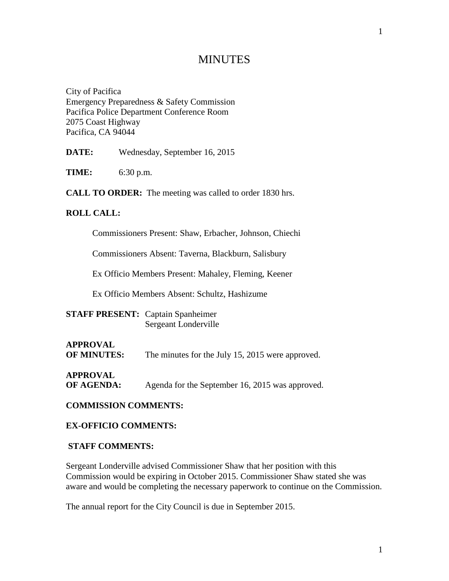# **MINUTES**

City of Pacifica Emergency Preparedness & Safety Commission Pacifica Police Department Conference Room 2075 Coast Highway Pacifica, CA 94044

**DATE:** Wednesday, September 16, 2015

**TIME:** 6:30 p.m.

**CALL TO ORDER:** The meeting was called to order 1830 hrs.

#### **ROLL CALL:**

Commissioners Present: Shaw, Erbacher, Johnson, Chiechi

Commissioners Absent: Taverna, Blackburn, Salisbury

Ex Officio Members Present: Mahaley, Fleming, Keener

Ex Officio Members Absent: Schultz, Hashizume

| <b>STAFF PRESENT:</b> Captain Spanheimer |                      |
|------------------------------------------|----------------------|
|                                          | Sergeant Londerville |

**APPROVAL OF MINUTES:** The minutes for the July 15, 2015 were approved.

**APPROVAL**

**OF AGENDA:** Agenda for the September 16, 2015 was approved.

**COMMISSION COMMENTS:**

#### **EX-OFFICIO COMMENTS:**

#### **STAFF COMMENTS:**

Sergeant Londerville advised Commissioner Shaw that her position with this Commission would be expiring in October 2015. Commissioner Shaw stated she was aware and would be completing the necessary paperwork to continue on the Commission.

The annual report for the City Council is due in September 2015.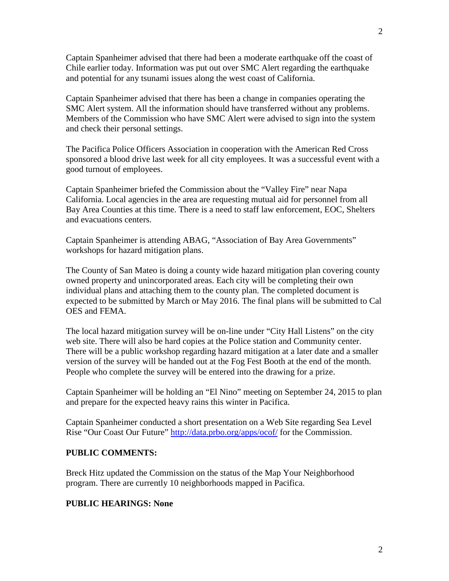Captain Spanheimer advised that there had been a moderate earthquake off the coast of Chile earlier today. Information was put out over SMC Alert regarding the earthquake and potential for any tsunami issues along the west coast of California.

Captain Spanheimer advised that there has been a change in companies operating the SMC Alert system. All the information should have transferred without any problems. Members of the Commission who have SMC Alert were advised to sign into the system and check their personal settings.

The Pacifica Police Officers Association in cooperation with the American Red Cross sponsored a blood drive last week for all city employees. It was a successful event with a good turnout of employees.

Captain Spanheimer briefed the Commission about the "Valley Fire" near Napa California. Local agencies in the area are requesting mutual aid for personnel from all Bay Area Counties at this time. There is a need to staff law enforcement, EOC, Shelters and evacuations centers.

Captain Spanheimer is attending ABAG, "Association of Bay Area Governments" workshops for hazard mitigation plans.

The County of San Mateo is doing a county wide hazard mitigation plan covering county owned property and unincorporated areas. Each city will be completing their own individual plans and attaching them to the county plan. The completed document is expected to be submitted by March or May 2016. The final plans will be submitted to Cal OES and FEMA.

The local hazard mitigation survey will be on-line under "City Hall Listens" on the city web site. There will also be hard copies at the Police station and Community center. There will be a public workshop regarding hazard mitigation at a later date and a smaller version of the survey will be handed out at the Fog Fest Booth at the end of the month. People who complete the survey will be entered into the drawing for a prize.

Captain Spanheimer will be holding an "El Nino" meeting on September 24, 2015 to plan and prepare for the expected heavy rains this winter in Pacifica.

Captain Spanheimer conducted a short presentation on a Web Site regarding Sea Level Rise "Our Coast Our Future"<http://data.prbo.org/apps/ocof/> for the Commission.

### **PUBLIC COMMENTS:**

Breck Hitz updated the Commission on the status of the Map Your Neighborhood program. There are currently 10 neighborhoods mapped in Pacifica.

### **PUBLIC HEARINGS: None**